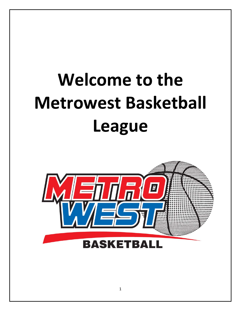# **Welcome to the Metrowest Basketball League**

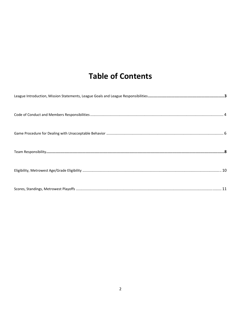## **Table of Contents**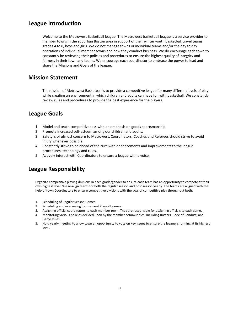## **League Introduction**

Welcome to the Metrowest Basketball league. The Metrowest basketball league is a service provider to member towns in the suburban Boston area in support of their winter youth basketball travel teams grades 4 to 8, boys and girls. We do not manage towns or individual teams and/or the day to day operations of individual member towns and how they conduct business. We do encourage each town to constantly be reviewing their policies and procedures to ensure the highest quality of integrity and fairness in their town and teams. We encourage each coordinator to embrace the power to lead and share the Missions and Goals of the league.

## **Mission Statement**

The mission of Metrowest Basketball is to provide a competitive league for many different levels of play while creating an environment in which children and adults can have fun with basketball. We constantly review rules and procedures to provide the best experience for the players.

## **League Goals**

- 1. Model and teach competitiveness with an emphasis on goods sportsmanship.
- 2. Promote increased self-esteem among our children and adults.
- 3. Safety is of utmost concern to Metrowest. Coordinators, Coaches and Referees should strive to avoid injury whenever possible.
- 4. Constantly strive to be ahead of the cure with enhancements and improvements to the league procedures, technology and rules.
- 5. Actively interact with Coordinators to ensure a league with a voice.

## **League Responsibility**

Organize competitive playing divisions in each grade/gender to ensure each team has an opportunity to compete at their own highest level. We re-align teams for both the regular season and post season yearly. The teams are aligned with the help of town Coordinators to ensure competitive divisions with the goal of competitive play throughout both.

- 1. Scheduling of Regular Season Games.
- 2. Scheduling and overseeing tournament Play-off games.
- 3. Assigning official coordinators to each member town. They are responsible for assigning officials to each game.
- 4. Monitoring various policies decided upon by the member communities: Including Rosters, Code of Conduct, and Game Rules.
- 5. Hold yearly meeting to allow town an opportunity to vote on key issues to ensure the league is running at its highest level.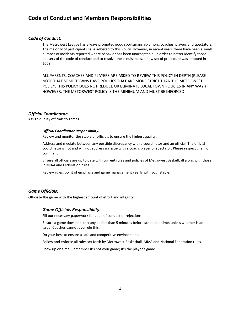## **Code of Conduct and Members Responsibilities**

#### *Code of Conduct:*

The Metrowest League has always promoted good sportsmanship among coaches, players and spectators. The majority of participants have adhered to this Policy. However, in recent years there have been a small number of incidents reported where behavior has been unacceptable. In order to better identify those abusers of the code of conduct and to resolve these nuisances, a new set of procedure was adopted in 2008.

ALL PARENTS, COACHES AND PLAYERS ARE ASKED TO REVIEW THIS POLICY IN DEPTH (PLEASE NOTE THAT SOME TOWNS HAVE POLICIES THAT ARE MORE STRICT THAN THE METROWEST POLICY. THIS POLICY DOES NOT REDUCE OR ELIMINATE LOCAL TOWN POLICIES IN ANY WAY.) HOWEVER, THE METORWEST POLICY IS THE MINIMUM AND MUST BE INFORCED.

#### *Official Coordinator:*

Assign quality officials to games.

#### *Official Coordinator Responsibility:*

Review and monitor the stable of officials to ensure the highest quality.

Address and mediate between any possible discrepancy with a coordinator and an official. The official coordinator is not and will not address an issue with a coach, player or spectator. Please respect chain of command.

Ensure all officials are up to date with current rules and policies of Metrowest Basketball along with those in MIAA and Federation rules.

Review rules, point of emphasis and game management yearly with your stable.

#### *Game Officials:*

Officiate the game with the highest amount of effort and integrity.

#### *Game Officials Responsibility:*

Fill out necessary paperwork for code of conduct or rejections.

Ensure a game does not start any earlier than 5 minutes before scheduled time, unless weather is an issue. Coaches cannot overrule this.

Do your best to ensure a safe and competitive environment.

Follow and enforce all rules set forth by Metrowest Basketball, MIAA and National Federation rules.

Show up on time. Remember it's not your game; it's the player's game.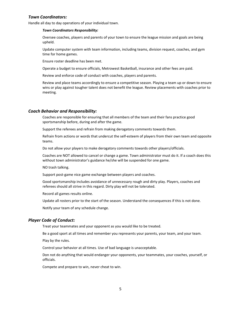#### *Town Coordinators:*

Handle all day to day operations of your individual town.

#### *Town Coordinators Responsibility:*

Oversee coaches, players and parents of your town to ensure the league mission and goals are being upheld.

Update computer system with team information, including teams, division request, coaches, and gym time for home games.

Ensure roster deadline has been met.

Operate a budget to ensure officials, Metrowest Basketball, insurance and other fees are paid.

Review and enforce code of conduct with coaches, players and parents.

Review and place teams accordingly to ensure a competitive season. Playing a team up or down to ensure wins or play against tougher talent does not benefit the league. Review placements with coaches prior to meeting.

#### *Coach Behavior and Responsibility:*

Coaches are responsible for ensuring that all members of the team and their fans practice good sportsmanship before, during and after the game.

Support the referees and refrain from making derogatory comments towards them.

Refrain from actions or words that undercut the self-esteem of players from their own team and opposite teams.

Do not allow your players to make derogatory comments towards other players/officials.

Coaches are NOT allowed to cancel or change a game. Town administrator must do it. If a coach does this without town administrator's guidance he/she will be suspended for one game.

NO trash talking.

Support post-game nice game exchange between players and coaches.

Good sportsmanship includes avoidance of unnecessary rough and dirty play. Players, coaches and referees should all strive in this regard. Dirty play will not be tolerated.

Record all games results online.

Update all rosters prior to the start of the season. Understand the consequences if this is not done.

Notify your team of any schedule change.

#### *Player Code of Conduct:*

Treat your teammates and your opponent as you would like to be treated.

Be a good sport at all times and remember you represents your parents, your team, and your team.

Play by the rules.

Control your behavior at all times. Use of bad language is unacceptable.

Don not do anything that would endanger your opponents, your teammates, your coaches, yourself, or officials.

Compete and prepare to win, never cheat to win.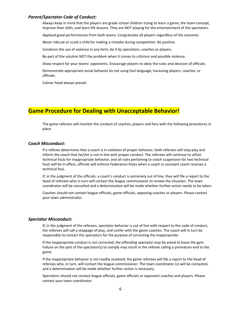#### *Parent/Spectator Code of Conduct:*

Always keep in mind that the players are grade school children trying to learn a game, the team concept, improve their skills, and learn life lessons. They are NOT playing for the entertainment of the spectators.

Applaud good performances from both teams. Congratulate all players regardless of the outcome.

Never ridicule or scold a child for making a mistake during competition. Be positive.

Condemn the use of violence in any form, be it by spectators, coaches or players.

Be part of the solution NOT the problem when it comes to criticism and possible violence.

Show respect for your teams' opponents. Encourage players to obey the rules and decision of officials.

Demonstrate appropriate social behavior by not using foul language, harassing players, coaches, or officials.

Calmer head always prevail.

## **Game Procedure for Dealing with Unacceptable Behavior!**

The game referees will monitor the conduct of coaches, players and fans with the following procedures in place.

#### *Coach Misconduct:*

If a referee determines that a coach is in violation of proper behavior, both referees will stop play and inform the coach that he/she is not in line with proper conduct. The referees will continue to utilize technical fouls for inappropriate behavior, and all rules pertaining to coach suspension for two technical fouls will be in effect, officials will enforce Federation Rules when a coach or assistant coach receives a technical foul.

If, in the judgment of the officials, a coach's conduct is extremely out of line, they will file a report to the head of referees who in turn will contact the league commissioner to review the situation. The town coordinator will be consulted and a determination will be made whether further action needs to be taken.

Coaches should not contact league officials, game officials, opposing coaches or players. Please contact your town administrator.

#### *Spectator Misconduct:*

If, in the judgment of the referees, spectator behavior is out of line with respect to the code of conduct, the referees will call a stoppage of play, and confer with the game coaches. The coach will in turn be responsible to contact the spectators for the purpose of correcting the inappropriate.

If the inappropriate conduct is not corrected, the offending spectator may be asked to leave the gym. Failure on the part of the spectator(s) to comply may result in the referee calling a premature end to the game.

If the inappropriate behavior is not readily resolved, the game referees will file a report to the head of referees who, in turn, will contact the league commissioner. The town coordinator (s) will be contacted, and a determination will be made whether further action is necessary.

Spectators should not contact league officials, game officials or opponent coaches and players. Please contact your town coordinator.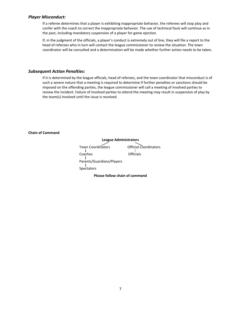#### *Player Misconduct:*

If a referee determines that a player is exhibiting inappropriate behavior, the referees will stop play and confer with the coach to correct the inappropriate behavior. The use of technical fouls will continue as in the past, including mandatory suspension of a player for game ejection.

If, in the judgment of the officials, a player's conduct is extremely out of line, they will file a report to the head of referees who in turn will contact the league commissioner to review the situation. The town coordinator will be consulted and a determination will be made whether further action needs to be taken.

#### *Subsequent Action Penalties:*

If it is determined by the league officials, head of referees, and the town coordinator that misconduct is of such a severe nature that a meeting is required to determine if further penalties or sanctions should be imposed on the offending parties, the league commissioner will call a meeting of involved parties to review the incident. Failure of involved parties to attend the meeting may result in suspension of play by the team(s) involved until the issue is resolved.

#### **Chain of Command**

**League Administrators**  Town Coordinators **Official Coordinators** -1 ı Coaches Officials Parents/Guardians/Players Spectators

**Please follow chain of command**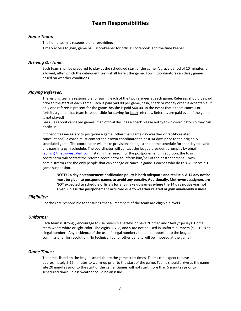## **Team Responsibilities**

#### *Home Team:*

The home team is responsible for providing:

Timely access to gym, game ball, scorekeeper for official scorebook, and the time keeper.

#### *Arriving On Time:*

Each team shall be prepared to play at the scheduled start of the game. A grace period of 10 minutes is allowed, after which the delinquent team shall forfeit the game. Town Coordinators can delay games based on weather conditions.

#### *Playing Referees:*

The visiting team is responsible for paying each of the two referees at each game. Referees should be paid prior to the start of each game. Each is paid \$40.00 per game, cash, check or money order is acceptable. If only one referee is present for the game, he/she is paid \$60.00. In the event that a team cancels or forfeits a game, that team is responsible for paying for both referees. Referees are paid even if the game is not played!

See rules about cancelled games. If an official declines a check please notify town coordinator so they can notify us.

If it becomes necessary to postpone a game (other than game day weather or facility related cancellations), a coach must contact their town coordinator at least **14** days prior to the originally scheduled game. The coordinator will make provisions to adjust the home schedule for that day to avoid any gaps in a gym schedule. The coordinator will contact the league president promptly by email (admin@metrowestbball.com), stating the reason for the postponement. In addition, the town coordinator will contact the referee coordinator to inform him/her of the postponement. Town administrators are the only people that can change or cancel a game. Coaches who do this will serve a 1 game suspension.

**NOTE: 14 day postponement notification policy is both adequate and realistic. A 14 day notice must be given to postpone games to avoid any penalty. Additionally, Metrowest assigners are NOT expected to schedule officials for any make up games where the 14 day notice was not given, unless the postponement occurred due to weather related or gym availability issues!** 

#### *Eligibility:*

Coaches are responsible for ensuring that all members of the team are eligible players.

#### *Uniforms:*

Each team is strongly encourage to use reversible jerseys or have "Home" and "Away" jerseys. Home team wears white or light color. The digits 6, 7, 8, and 9 are not be used in uniform numbers (e.i., 19 is an illegal number). Any incidence of the use of illegal numbers should be reported to the league commissioner for resolution. No technical foul or other penalty will be imposed at the game!

#### *Game Times:*

The times listed on the league schedule are the game start times. Teams can expect to have approximately 5-15 minutes to warm-up prior to the start of the game. Teams should arrive at the game site 20 minutes prior to the start of the game. Games will not start more than 5 minutes prior to scheduled times unless weather could be an issue.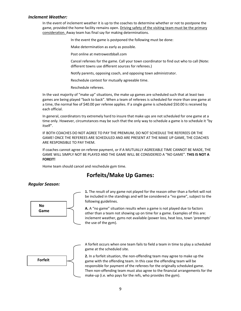#### *Inclement Weather:*

In the event of inclement weather it is up to the coaches to determine whether or not to postpone the game, provided the home facility remains open. Driving safety of the visiting team must be the primary consideration. Away team has final say for making determinations.

In the event the game is postponed the following must be done:

Make determination as early as possible.

Post online at metrowestbball.com

Cancel referees for the game. Call your town coordinator to find out who to call (Note: different towns use different sources for referees.)

Notify parents, opposing coach, and opposing town administrator.

Reschedule contest for mutually agreeable time.

Reschedule referees.

In the vast majority of "make up" situations, the make up games are scheduled such that at least two games are being played "back to back". When a team of referees is scheduled for more than one game at a time, the normal fee of \$40.00 per referee applies. If a single game is scheduled \$50.00 is received by each official.

In general, coordinators try extremely hard to insure that make ups are not scheduled for one game at a time only. However, circumstances may be such that the only way to schedule a game is to schedule it "by itself".

IF BOTH COACHES DO NOT AGREE TO PAY THE PREMIUM, DO NOT SCHEDULE THE REFEREES OR THE GAME! ONCE THE REFEREES ARE SCHEDULED AND ARE PRESENT AT THE MAKE UP GAME, THE COACHES ARE RESPONSIBLE TO PAY THEM.

If coaches cannot agree on referee payment, or if A MUTUALLY AGREEABLE TIME CANNOT BE MADE, THE GAME WILL SIMPLY NOT BE PLAYED AND THE GAME WILL BE CONSIDERED A "NO GAME". **THIS IS NOT A FOREIT!** 

Home team should cancel and reschedule gym time.

## **Forfeits/Make Up Games:**

#### *Regular Season:*



**1.** The result of any game not played for the reason other than a forfeit will not be included in the standings and will be considered a "no game", subject to the following guidelines.

**A.** A "no game" situation results when a game is not played due to factors other than a team not showing up on time for a game. Examples of this are: inclement weather, gyms not available (power loss, heat loss, town 'preempts' the use of the gym).



A forfeit occurs when one team fails to field a team in time to play a scheduled game at the scheduled site.

**2.** In a forfeit situation, the non-offending team may agree to make up the game with the offending team. In this case the offending team will be responsible for payment of the referees for the originally scheduled game. Then non-offending team must also agree to the financial arrangements for the make-up (i.e. who pays for the refs, who provides the gym).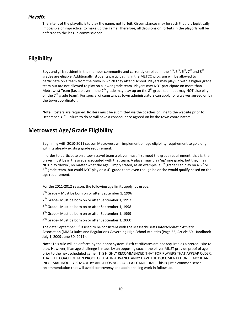#### *Playoffs:*

The intent of the playoffs is to play the game, not forfeit. Circumstances may be such that it is logistically impossible or impractical to make up the game. Therefore, all decisions on forfeits in the playoffs will be deferred to the league commissioner.

## **Eligibility**

Boys and girls resident in the member community and currently enrolled in the 4<sup>th</sup>, 5<sup>th</sup>, 6<sup>th</sup>, 7<sup>th</sup> and 8<sup>th</sup> grades are eligible. Additionally, students participating in the METCO program will be allowed to participate on a team from the town in which they attend school. Players may play up with a higher grade team but are not allowed to play on a lower grade team. Players may NOT participate on more than 1 Metrowest Team (i.e. a player in the  $7<sup>th</sup>$  grade may play up on the  $8<sup>th</sup>$  grade team but may NOT also play on the  $7<sup>th</sup>$  grade team). For special circumstances town administrators can apply for a waiver agreed on by the town coordinator.

**Note:** Rosters are required. Rosters must be submitted via the coaches on line to the website prior to December  $31<sup>st</sup>$ . Failure to do so will have a consequence agreed on by the town coordinators.

## **Metrowest Age/Grade Eligibility**

Beginning with 2010-2011 season Metrowest will implement on age eligibility requirement to go along with its already existing grade requirement.

In order to participate on a town travel team a player must first meet the grade requirement; that is, the player must be in the grade associated with that team. A player may play 'up' one grade, but they may NOT play 'down', no matter what the age. Simply stated, as an example, a 5<sup>th</sup> grader can play on a 5<sup>th</sup> or  $6<sup>th</sup>$  grade team, but could NOT play on a 4<sup>th</sup> grade team even though he or she would qualify based on the age requirement.

For the 2011-2012 season, the following age limits apply, by grade.

- $8<sup>th</sup>$  Grade Must be born on or after September 1, 1996
- $7<sup>th</sup>$  Grade– Must be born on or after September 1, 1997
- $6<sup>th</sup>$  Grade– Must be born on or after September 1, 1998
- 5<sup>th</sup> Grade– Must be born on or after September 1, 1999
- 4th Grade– Must be born on or after September 1, 2000

The date September  $1^{st}$  is used to be consistent with the Massachusetts Interscholastic Athletic Association (MIAA) Rules and Regulations Governing High School Athletics (Page 55, Article 60, Handbook July 1, 2009-June 30, 2011).

**Note:** This rule will be enforce by the honor system. Birth certificates are not required as a prerequisite to play. However, if an age challenge is made by an opposing coach, the player MUST provide proof of age prior to the next scheduled game. IT IS HIGHLY RECOMMENDED THAT FOR PLAYERS THAT APPEAR OLDER, THAT THE COACH OBTAIN PROOF OF AGE IN ADVANCE ANDY HAVE THE DOCUMENTATION READY IF AN INFORMAL INQUIRY IS MADE BY AN OPPOSING COACH AT GAME TIME. This is just a common sense recommendation that will avoid controversy and additional leg work in follow up.